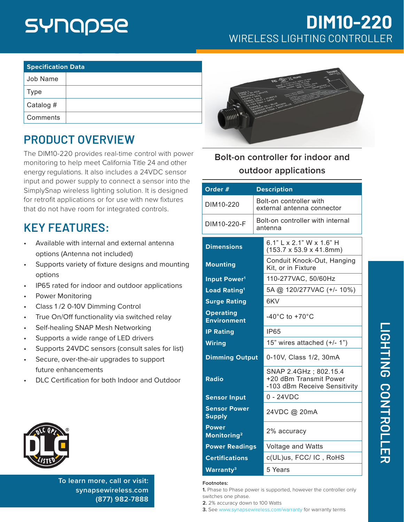## SYNQPSE

#### **DIM10-220** WIRELESS LIGHTING CONTROLLER

| <b>Specification Data</b> |  |  |
|---------------------------|--|--|
| Job Name                  |  |  |
| Type                      |  |  |
| Catalog #                 |  |  |
| Comments                  |  |  |

#### **PRODUCT OVERVIEW**

The DIM10-220 provides real-time control with power monitoring to help meet California Title 24 and other energy regulations. It also includes a 24VDC sensor input and power supply to connect a sensor into the SimplySnap wireless lighting solution. It is designed for retrofit applications or for use with new fixtures that do not have room for integrated controls.

#### **KEY FEATURES:**

- Available with internal and external antenna options (Antenna not included)
- Supports variety of fixture designs and mounting options
- IP65 rated for indoor and outdoor applications
- Power Monitoring
- Class 1 /2 0-10V Dimming Control
- True On/Off functionality via switched relay
- Self-healing SNAP Mesh Networking
- Supports a wide range of LED drivers
- Supports 24VDC sensors (consult sales for list)
- Secure, over-the-air upgrades to support future enhancements
- DLC Certification for both Indoor and Outdoor



**To learn more, call or visit: [synapsewireless.com](http://www.synapse-wireless.com) (877) 982-7888**



#### **Bolt-on controller for indoor and outdoor applications**

| Order #                                 |  | <b>Description</b>                                                               |
|-----------------------------------------|--|----------------------------------------------------------------------------------|
| DIM10-220                               |  | Bolt-on controller with<br>external antenna connector                            |
| DIM10-220-F                             |  | Bolt-on controller with internal<br>antenna                                      |
| <b>Dimensions</b>                       |  | 6.1" L x 2.1" W x 1.6" H<br>$(153.7 \times 53.9 \times 41.8 \text{mm})$          |
| <b>Mounting</b>                         |  | Conduit Knock-Out, Hanging<br>Kit, or in Fixture                                 |
| Input Power <sup>1</sup>                |  | 110-277VAC, 50/60Hz                                                              |
| <b>Load Rating<sup>1</sup></b>          |  | 5A @ 120/277VAC (+/- 10%)                                                        |
| <b>Surge Rating</b>                     |  | 6KV                                                                              |
| <b>Operating</b><br><b>Environment</b>  |  | -40 $^{\circ}$ C to +70 $^{\circ}$ C                                             |
| <b>IP Rating</b>                        |  | <b>IP65</b>                                                                      |
| <b>Wiring</b>                           |  | 15" wires attached (+/- 1")                                                      |
| <b>Dimming Output</b>                   |  | 0-10V, Class 1/2, 30mA                                                           |
| <b>Radio</b>                            |  | SNAP 2.4GHz ; 802.15.4<br>+20 dBm Transmit Power<br>-103 dBm Receive Sensitivity |
| <b>Sensor Input</b>                     |  | $0 - 24VDC$                                                                      |
| <b>Sensor Power</b><br><b>Supply</b>    |  | 24VDC @ 20mA                                                                     |
| <b>Power</b><br>Monitoring <sup>2</sup> |  | 2% accuracy                                                                      |
| <b>Power Readings</b>                   |  | Voltage and Watts                                                                |
| <b>Certifications</b>                   |  | c(UL)us, FCC/ IC, RoHS                                                           |
| Warranty <sup>3</sup>                   |  | 5 Years                                                                          |

#### **Footnotes:**

**1.** Phase to Phase power is supported, however the controller only switches one phase.

- **2.** 2% accuracy down to 100 Watts
- **3.** See www.synapsewireless.com/warranty for warranty terms